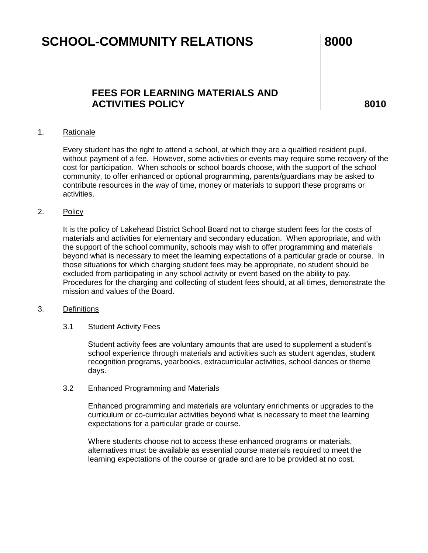# **SCHOOL-COMMUNITY RELATIONS** 8000

## **FEES FOR LEARNING MATERIALS AND**  ACTIVITIES POLICY **ACTIVITIES POLICY**

## 1. Rationale

Every student has the right to attend a school, at which they are a qualified resident pupil, without payment of a fee. However, some activities or events may require some recovery of the cost for participation. When schools or school boards choose, with the support of the school community, to offer enhanced or optional programming, parents/guardians may be asked to contribute resources in the way of time, money or materials to support these programs or activities.

#### 2. Policy

It is the policy of Lakehead District School Board not to charge student fees for the costs of materials and activities for elementary and secondary education. When appropriate, and with the support of the school community, schools may wish to offer programming and materials beyond what is necessary to meet the learning expectations of a particular grade or course. In those situations for which charging student fees may be appropriate, no student should be excluded from participating in any school activity or event based on the ability to pay. Procedures for the charging and collecting of student fees should, at all times, demonstrate the mission and values of the Board.

#### 3. Definitions

3.1 Student Activity Fees

Student activity fees are voluntary amounts that are used to supplement a student's school experience through materials and activities such as student agendas, student recognition programs, yearbooks, extracurricular activities, school dances or theme days.

3.2 Enhanced Programming and Materials

Enhanced programming and materials are voluntary enrichments or upgrades to the curriculum or co-curricular activities beyond what is necessary to meet the learning expectations for a particular grade or course.

Where students choose not to access these enhanced programs or materials, alternatives must be available as essential course materials required to meet the learning expectations of the course or grade and are to be provided at no cost.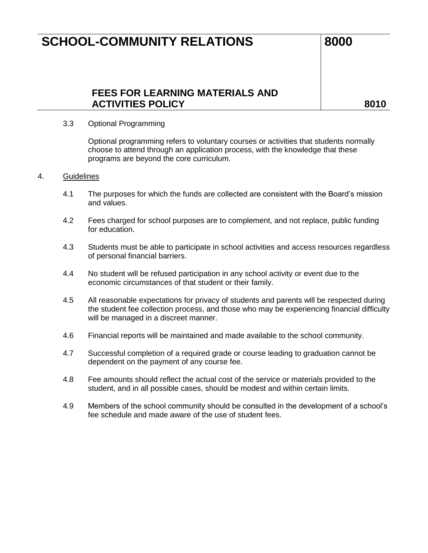# **SCHOOL-COMMUNITY RELATIONS** 8000

## **FEES FOR LEARNING MATERIALS AND**  ACTIVITIES POLICY **ACTIVITIES POLICY**

## 3.3 Optional Programming

Optional programming refers to voluntary courses or activities that students normally choose to attend through an application process, with the knowledge that these programs are beyond the core curriculum.

## 4. Guidelines

- 4.1 The purposes for which the funds are collected are consistent with the Board's mission and values.
- 4.2 Fees charged for school purposes are to complement, and not replace, public funding for education.
- 4.3 Students must be able to participate in school activities and access resources regardless of personal financial barriers.
- 4.4 No student will be refused participation in any school activity or event due to the economic circumstances of that student or their family.
- 4.5 All reasonable expectations for privacy of students and parents will be respected during the student fee collection process, and those who may be experiencing financial difficulty will be managed in a discreet manner.
- 4.6 Financial reports will be maintained and made available to the school community.
- 4.7 Successful completion of a required grade or course leading to graduation cannot be dependent on the payment of any course fee.
- 4.8 Fee amounts should reflect the actual cost of the service or materials provided to the student, and in all possible cases, should be modest and within certain limits.
- 4.9 Members of the school community should be consulted in the development of a school's fee schedule and made aware of the use of student fees.